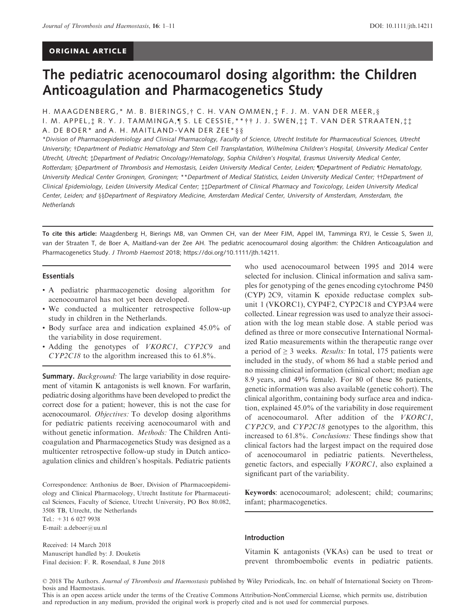# ORIGINAL ARTICLE

# The pediatric acenocoumarol dosing algorithm: the Children Anticoagulation and Pharmacogenetics Study

# H. MAAGDENBERG,\* M. B. BIERINGS, † C. H. VAN OMMEN, ‡ F. J. M. VAN DER MEER, § I. M. APPEL, ‡ R. Y. J. TAMMINGA, ¶ S. LE CESSIE,\*\* † † J. J. SWEN, ‡ ‡ T. VAN DER STRAATEN, ‡ ‡ A. DE BOER\* and A. H. MAITLAND-VAN DER ZEE\* § §

\*Division of Pharmacoepidemiology and Clinical Pharmacology, Faculty of Science, Utrecht Institute for Pharmaceutical Sciences, Utrecht University; †Department of Pediatric Hematology and Stem Cell Transplantation, Wilhelmina Children's Hospital, University Medical Center Utrecht, Utrecht; ‡Department of Pediatric Oncology/Hematology, Sophia Children's Hospital, Erasmus University Medical Center, Rotterdam; §Department of Thrombosis and Hemostasis, Leiden University Medical Center, Leiden; ¶Department of Pediatric Hematology, University Medical Center Groningen, Groningen; \*\*Department of Medical Statistics, Leiden University Medical Center; ††Department of Clinical Epidemiology, Leiden University Medical Center; ‡‡Department of Clinical Pharmacy and Toxicology, Leiden University Medical Center, Leiden; and §§Department of Respiratory Medicine, Amsterdam Medical Center, University of Amsterdam, Amsterdam, the **Netherlands** 

To cite this article: Maagdenberg H, Bierings MB, van Ommen CH, van der Meer FJM, Appel IM, Tamminga RYJ, le Cessie S, Swen JJ, van der Straaten T, de Boer A, Maitland-van der Zee AH. The pediatric acenocoumarol dosing algorithm: the Children Anticoagulation and Pharmacogenetics Study. J Thromb Haemost 2018;<https://doi.org/10.1111/jth.14211>.

#### Essentials

- A pediatric pharmacogenetic dosing algorithm for acenocoumarol has not yet been developed.
- We conducted a multicenter retrospective follow-up study in children in the Netherlands.
- Body surface area and indication explained 45.0% of the variability in dose requirement.
- Adding the genotypes of VKORC1, CYP2C9 and CYP2C18 to the algorithm increased this to 61.8%.

Summary. *Background:* The large variability in dose requirement of vitamin K antagonists is well known. For warfarin, pediatric dosing algorithms have been developed to predict the correct dose for a patient; however, this is not the case for acenocoumarol. Objectives: To develop dosing algorithms for pediatric patients receiving acenocoumarol with and without genetic information. Methods: The Children Anticoagulation and Pharmacogenetics Study was designed as a multicenter retrospective follow-up study in Dutch anticoagulation clinics and children's hospitals. Pediatric patients

Correspondence: Anthonius de Boer, Division of Pharmacoepidemiology and Clinical Pharmacology, Utrecht Institute for Pharmaceutical Sciences, Faculty of Science, Utrecht University, PO Box 80.082, 3508 TB, Utrecht, the Netherlands

Tel.: +31 6 027 9938 E-mail: a.deboer@uu.nl

Received: 14 March 2018 Manuscript handled by: J. Douketis Final decision: F. R. Rosendaal, 8 June 2018

who used acenocoumarol between 1995 and 2014 were selected for inclusion. Clinical information and saliva samples for genotyping of the genes encoding cytochrome P450 (CYP) 2C9, vitamin K epoxide reductase complex subunit 1 (VKORC1), CYP4F2, CYP2C18 and CYP3A4 were collected. Linear regression was used to analyze their association with the log mean stable dose. A stable period was defined as three or more consecutive International Normalized Ratio measurements within the therapeutic range over a period of  $\geq 3$  weeks. *Results:* In total, 175 patients were included in the study, of whom 86 had a stable period and no missing clinical information (clinical cohort; median age 8.9 years, and 49% female). For 80 of these 86 patients, genetic information was also available (genetic cohort). The clinical algorithm, containing body surface area and indication, explained 45.0% of the variability in dose requirement of acenocoumarol. After addition of the VKORC1, CYP2C9, and CYP2C18 genotypes to the algorithm, this increased to 61.8%. Conclusions: These findings show that clinical factors had the largest impact on the required dose of acenocoumarol in pediatric patients. Nevertheless, genetic factors, and especially VKORC1, also explained a significant part of the variability.

Keywords: acenocoumarol; adolescent; child; coumarins; infant; pharmacogenetics.

#### Introduction

Vitamin K antagonists (VKAs) can be used to treat or prevent thromboembolic events in pediatric patients.

© 2018 The Authors. Journal of Thrombosis and Haemostasis published by Wiley Periodicals, Inc. on behalf of International Society on Thrombosis and Haemostasis.

This is an open access article under the terms of the [Creative Commons Attribution-NonCommercial](http://creativecommons.org/licenses/by-nc/4.0/) License, which permits use, distribution and reproduction in any medium, provided the original work is properly cited and is not used for commercial purposes.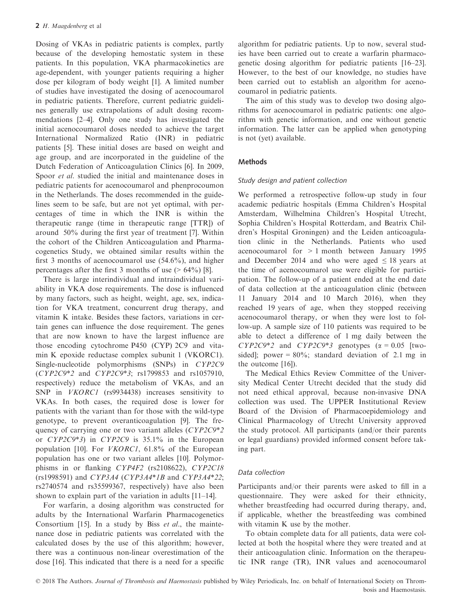Dosing of VKAs in pediatric patients is complex, partly because of the developing hemostatic system in these patients. In this population, VKA pharmacokinetics are age-dependent, with younger patients requiring a higher dose per kilogram of body weight [1]. A limited number of studies have investigated the dosing of acenocoumarol in pediatric patients. Therefore, current pediatric guidelines generally use extrapolations of adult dosing recommendations [2–4]. Only one study has investigated the initial acenocoumarol doses needed to achieve the target International Normalized Ratio (INR) in pediatric patients [5]. These initial doses are based on weight and age group, and are incorporated in the guideline of the Dutch Federation of Anticoagulation Clinics [6]. In 2009, Spoor *et al.* studied the initial and maintenance doses in pediatric patients for acenocoumarol and phenprocoumon in the Netherlands. The doses recommended in the guidelines seem to be safe, but are not yet optimal, with percentages of time in which the INR is within the therapeutic range (time in therapeutic range [TTR]) of around 50% during the first year of treatment [7]. Within the cohort of the Children Anticoagulation and Pharmacogenetics Study, we obtained similar results within the first 3 months of acenocoumarol use (54.6%), and higher percentages after the first 3 months of use  $(> 64\%)$  [8].

There is large interindividual and intraindividual variability in VKA dose requirements. The dose is influenced by many factors, such as height, weight, age, sex, indication for VKA treatment, concurrent drug therapy, and vitamin K intake. Besides these factors, variations in certain genes can influence the dose requirement. The genes that are now known to have the largest influence are those encoding cytochrome P450 (CYP) 2C9 and vitamin K epoxide reductase complex subunit 1 (VKORC1). Single-nucleotide polymorphisms (SNPs) in CYP2C9 (CYP2C9\*2 and CYP2C9\*3; rs1799853 and rs1057910, respectively) reduce the metabolism of VKAs, and an SNP in *VKORC1* (rs9934438) increases sensitivity to VKAs. In both cases, the required dose is lower for patients with the variant than for those with the wild-type genotype, to prevent overanticoagulation [9]. The frequency of carrying one or two variant alleles (CYP2C9\*2 or CYP2C9\*3) in CYP2C9 is 35.1% in the European population [10]. For VKORC1, 61.8% of the European population has one or two variant alleles [10]. Polymorphisms in or flanking CYP4F2 (rs2108622), CYP2C18 (rs1998591) and CYP3A4 (CYP3A4\*1B and CYP3A4\*22; rs2740574 and rs35599367, respectively) have also been shown to explain part of the variation in adults [11–14].

For warfarin, a dosing algorithm was constructed for adults by the International Warfarin Pharmacogenetics Consortium [15]. In a study by Biss et al., the maintenance dose in pediatric patients was correlated with the calculated doses by the use of this algorithm; however, there was a continuous non-linear overestimation of the dose [16]. This indicated that there is a need for a specific algorithm for pediatric patients. Up to now, several studies have been carried out to create a warfarin pharmacogenetic dosing algorithm for pediatric patients [16–23]. However, to the best of our knowledge, no studies have been carried out to establish an algorithm for acenocoumarol in pediatric patients.

The aim of this study was to develop two dosing algorithms for acenocoumarol in pediatric patients: one algorithm with genetic information, and one without genetic information. The latter can be applied when genotyping is not (yet) available.

# Methods

## Study design and patient collection

We performed a retrospective follow-up study in four academic pediatric hospitals (Emma Children's Hospital Amsterdam, Wilhelmina Children's Hospital Utrecht, Sophia Children's Hospital Rotterdam, and Beatrix Children's Hospital Groningen) and the Leiden anticoagulation clinic in the Netherlands. Patients who used acenocoumarol for > 1 month between January 1995 and December 2014 and who were aged  $\leq 18$  years at the time of acenocoumarol use were eligible for participation. The follow-up of a patient ended at the end date of data collection at the anticoagulation clinic (between 11 January 2014 and 10 March 2016), when they reached 19 years of age, when they stopped receiving acenocoumarol therapy, or when they were lost to follow-up. A sample size of 110 patients was required to be able to detect a difference of 1 mg daily between the  $CYP2C9*2$  and  $CYP2C9*3$  genotypes ( $\alpha = 0.05$  [twosided]; power =  $80\%$ ; standard deviation of 2.1 mg in the outcome [16]).

The Medical Ethics Review Committee of the University Medical Center Utrecht decided that the study did not need ethical approval, because non-invasive DNA collection was used. The UPPER Institutional Review Board of the Division of Pharmacoepidemiology and Clinical Pharmacology of Utrecht University approved the study protocol. All participants (and/or their parents or legal guardians) provided informed consent before taking part.

## Data collection

Participants and/or their parents were asked to fill in a questionnaire. They were asked for their ethnicity, whether breastfeeding had occurred during therapy, and, if applicable, whether the breastfeeding was combined with vitamin K use by the mother.

To obtain complete data for all patients, data were collected at both the hospital where they were treated and at their anticoagulation clinic. Information on the therapeutic INR range (TR), INR values and acenocoumarol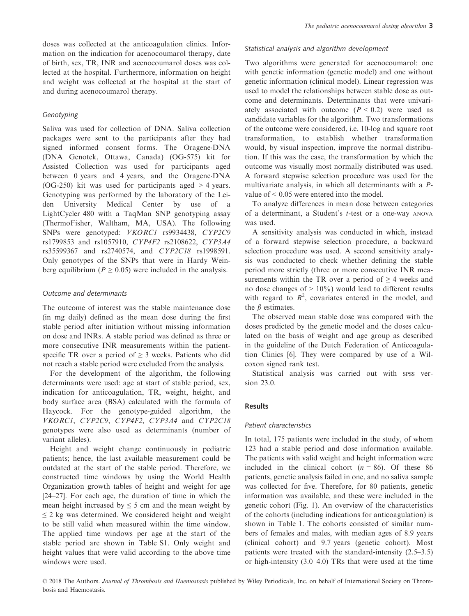doses was collected at the anticoagulation clinics. Information on the indication for acenocoumarol therapy, date of birth, sex, TR, INR and acenocoumarol doses was collected at the hospital. Furthermore, information on height and weight was collected at the hospital at the start of and during acenocoumarol therapy.

## **Genotyping**

Saliva was used for collection of DNA. Saliva collection packages were sent to the participants after they had signed informed consent forms. The Oragene-DNA (DNA Genotek, Ottawa, Canada) (OG-575) kit for Assisted Collection was used for participants aged between 0 years and 4 years, and the Oragene-DNA (OG-250) kit was used for participants aged > 4 years. Genotyping was performed by the laboratory of the Leiden University Medical Center by use of a LightCycler 480 with a TaqMan SNP genotyping assay (ThermoFisher, Waltham, MA, USA). The following SNPs were genotyped: VKORC1 rs9934438, CYP2C9 rs1799853 and rs1057910, CYP4F2 rs2108622, CYP3A4 rs35599367 and rs2740574, and CYP2C18 rs1998591. Only genotypes of the SNPs that were in Hardy–Weinberg equilibrium ( $P \ge 0.05$ ) were included in the analysis.

#### Outcome and determinants

The outcome of interest was the stable maintenance dose (in mg daily) defined as the mean dose during the first stable period after initiation without missing information on dose and INRs. A stable period was defined as three or more consecutive INR measurements within the patientspecific TR over a period of  $\geq$  3 weeks. Patients who did not reach a stable period were excluded from the analysis.

For the development of the algorithm, the following determinants were used: age at start of stable period, sex, indication for anticoagulation, TR, weight, height, and body surface area (BSA) calculated with the formula of Haycock. For the genotype-guided algorithm, the VKORC1, CYP2C9, CYP4F2, CYP3A4 and CYP2C18 genotypes were also used as determinants (number of variant alleles).

Height and weight change continuously in pediatric patients; hence, the last available measurement could be outdated at the start of the stable period. Therefore, we constructed time windows by using the World Health Organization growth tables of height and weight for age [24–27]. For each age, the duration of time in which the mean height increased by  $\leq$  5 cm and the mean weight by  $\leq$  2 kg was determined. We considered height and weight to be still valid when measured within the time window. The applied time windows per age at the start of the stable period are shown in Table S1. Only weight and height values that were valid according to the above time windows were used.

#### Statistical analysis and algorithm development

Two algorithms were generated for acenocoumarol: one with genetic information (genetic model) and one without genetic information (clinical model). Linear regression was used to model the relationships between stable dose as outcome and determinants. Determinants that were univariately associated with outcome  $(P < 0.2)$  were used as candidate variables for the algorithm. Two transformations of the outcome were considered, i.e. 10-log and square root transformation, to establish whether transformation would, by visual inspection, improve the normal distribution. If this was the case, the transformation by which the outcome was visually most normally distributed was used. A forward stepwise selection procedure was used for the multivariate analysis, in which all determinants with a Pvalue of < 0.05 were entered into the model.

To analyze differences in mean dose between categories of a determinant, a Student's t-test or a one-way ANOVA was used.

A sensitivity analysis was conducted in which, instead of a forward stepwise selection procedure, a backward selection procedure was used. A second sensitivity analysis was conducted to check whether defining the stable period more strictly (three or more consecutive INR measurements within the TR over a period of  $\geq$  4 weeks and no dose changes of  $> 10\%$ ) would lead to different results with regard to  $R^2$ , covariates entered in the model, and the  $\beta$  estimates.

The observed mean stable dose was compared with the doses predicted by the genetic model and the doses calculated on the basis of weight and age group as described in the guideline of the Dutch Federation of Anticoagulation Clinics [6]. They were compared by use of a Wilcoxon signed rank test.

Statistical analysis was carried out with spss version 23.0.

### Results

#### Patient characteristics

In total, 175 patients were included in the study, of whom 123 had a stable period and dose information available. The patients with valid weight and height information were included in the clinical cohort  $(n = 86)$ . Of these 86 patients, genetic analysis failed in one, and no saliva sample was collected for five. Therefore, for 80 patients, genetic information was available, and these were included in the genetic cohort (Fig. 1). An overview of the characteristics of the cohorts (including indications for anticoagulation) is shown in Table 1. The cohorts consisted of similar numbers of females and males, with median ages of 8.9 years (clinical cohort) and 9.7 years (genetic cohort). Most patients were treated with the standard-intensity (2.5–3.5) or high-intensity (3.0–4.0) TRs that were used at the time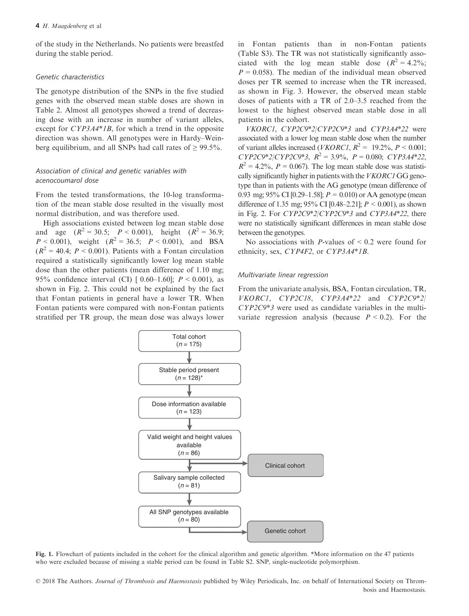of the study in the Netherlands. No patients were breastfed during the stable period.

#### Genetic characteristics

The genotype distribution of the SNPs in the five studied genes with the observed mean stable doses are shown in Table 2. Almost all genotypes showed a trend of decreasing dose with an increase in number of variant alleles, except for CYP3A4\*1B, for which a trend in the opposite direction was shown. All genotypes were in Hardy–Weinberg equilibrium, and all SNPs had call rates of  $\geq 99.5\%$ .

## Association of clinical and genetic variables with acenocoumarol dose

From the tested transformations, the 10-log transformation of the mean stable dose resulted in the visually most normal distribution, and was therefore used.

High associations existed between log mean stable dose and age  $(R^2 = 30.5; P < 0.001)$ , height  $(R^2 = 36.9;$  $P < 0.001$ ), weight ( $R^2 = 36.5$ ;  $P < 0.001$ ), and BSA  $(R^2 = 40.4; P < 0.001)$ . Patients with a Fontan circulation required a statistically significantly lower log mean stable dose than the other patients (mean difference of 1.10 mg; 95% confidence interval (CI)  $[0.60-1.60]$ ;  $P < 0.001$ ), as shown in Fig. 2. This could not be explained by the fact that Fontan patients in general have a lower TR. When Fontan patients were compared with non-Fontan patients stratified per TR group, the mean dose was always lower in Fontan patients than in non-Fontan patients (Table S3). The TR was not statistically significantly associated with the log mean stable dose  $(R^2 = 4.2\%;$  $P = 0.058$ ). The median of the individual mean observed doses per TR seemed to increase when the TR increased, as shown in Fig. 3. However, the observed mean stable doses of patients with a TR of 2.0–3.5 reached from the lowest to the highest observed mean stable dose in all patients in the cohort.

VKORC1, CYP2C9\*2/CYP2C9\*3 and CYP3A4\*22 were associated with a lower log mean stable dose when the number of variant alleles increased (*VKORC1*,  $R^2 = 19.2\%$ ,  $P < 0.001$ ; CYP2C9\*2/CYP2C9\*3,  $R^2 = 3.9\%$ ,  $P = 0.080$ ; CYP3A4\*22,  $R^2 = 4.2\%$ ,  $P = 0.067$ ). The log mean stable dose was statistically significantly higher in patients with the VKORC1 GG genotype than in patients with the AG genotype (mean difference of 0.93 mg; 95% CI [0.29–1.58];  $P = 0.010$  or AA genotype (mean difference of 1.35 mg;  $95\%$  CI [0.48–2.21];  $P < 0.001$ ), as shown in Fig. 2. For CYP2C9\*2/CYP2C9\*3 and CYP3A4\*22, there were no statistically significant differences in mean stable dose between the genotypes.

No associations with *P*-values of  $\leq 0.2$  were found for ethnicity, sex, CYP4F2, or CYP3A4\*1B.

#### Multivariate linear regression

From the univariate analysis, BSA, Fontan circulation, TR, VKORC1, CYP2C18, CYP3A4\*22 and CYP2C9\*2/ CYP2C9\*3 were used as candidate variables in the multivariate regression analysis (because  $P < 0.2$ ). For the



Fig. 1. Flowchart of patients included in the cohort for the clinical algorithm and genetic algorithm. \*More information on the 47 patients who were excluded because of missing a stable period can be found in Table S2. SNP, single-nucleotide polymorphism.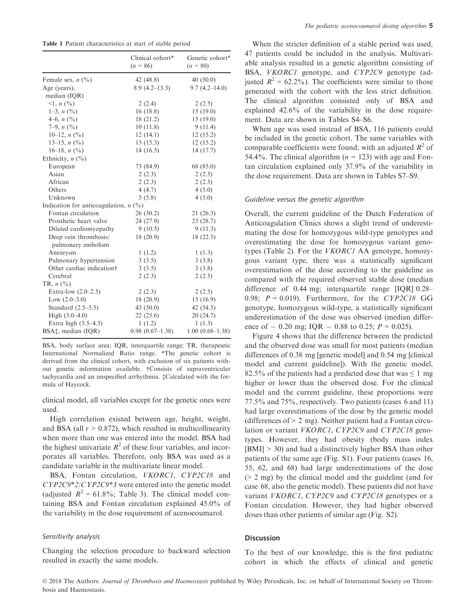Table 1 Patient characteristics at start of stable period

|                                             | Clinical cohort*<br>$(n = 86)$ | Genetic cohort*<br>$(n = 80)$ |
|---------------------------------------------|--------------------------------|-------------------------------|
| Female sex, $n \binom{0}{0}$                | 42 (48.8)                      | 40(50.0)                      |
| Age (years),                                | $8.9(4.2-13.3)$                | $9.7(4.2 - 14.0)$             |
| median (IQR)                                |                                |                               |
| $\leq 1, n \left( \frac{0}{0} \right)$      | 2(2.4)                         | 2(2.5)                        |
| $1-3, n (%)$                                | 16(18.8)                       | 15(19.0)                      |
| 4–6, $n$ (%)                                | 18 (21.2)                      | 15(19.0)                      |
| 7–9, $n$ $\binom{0}{0}$                     | 10(11.8)                       | 9(11.4)                       |
| 10-12, $n$ (%)                              | 12(14.1)                       | 12(15.2)                      |
| 13–15, $n$ (%)                              | 13(15.3)                       | 12(15.2)                      |
| 16–18, $n$ (%)                              | 14(16.5)                       | 14(17.7)                      |
| Ethnicity, $n$ (%)                          |                                |                               |
| European                                    | 73 (84.9)                      | 68 (85.0)                     |
| Asian                                       | 2(2.3)                         | 2(2.5)                        |
| African                                     | 2(2.3)                         | 2(2.5)                        |
| Others                                      | 4(4.7)                         | 4(5.0)                        |
| Unknown                                     | 5(5.8)                         | 4(5.0)                        |
| Indication for anticoagulation, $n$ (%)     |                                |                               |
| Fontan circulation                          | 26(30.2)                       | 21(26.3)                      |
| Prosthetic heart valve                      | 24 (27.9)                      | 23(28.7)                      |
| Dilated cardiomyopathy                      | 9(10.5)                        | 9(11.3)                       |
| Deep vein thrombosis/<br>pulmonary embolism | 18(20.9)                       | 18(22.5)                      |
| Aneurysm                                    | 1(1.2)                         | 1(1.3)                        |
| Pulmonary hypertension                      | 3(3.5)                         | 3(3.8)                        |
| Other cardiac indication†                   | 3(3.5)                         | 3(3.8)                        |
| Cerebral                                    | 2(2.3)                         | 2(2.5)                        |
| TR, $n$ (%)                                 |                                |                               |
| Extra-low $(2.0-2.5)$                       | 2(2.3)                         | 2(2.5)                        |
| Low $(2.0-3.0)$                             | 18(20.9)                       | 15(16.9)                      |
| Standard $(2.5-3.5)$                        | 43 $(50.0)$                    | 42(54.5)                      |
| High $(3.0-4.0)$                            | 22(25.6)                       | 20(24.7)                      |
| Extra high (3.5-4.5)                        | 1(1.2)                         | 1(1.3)                        |
| BSA‡, median (IQR)                          | $0.98(0.67-1.38)$              | $1.00(0.68-1.38)$             |

BSA, body surface area; IQR, interquartile range; TR, therapeutic International Normalized Ratio range. \*The genetic cohort is derived from the clinical cohort, with exclusion of six patients without genetic information available. †Consists of supraventricular tachycardia and an unspecified arrhythmia. ‡Calculated with the formula of Haycock.

clinical model, all variables except for the genetic ones were used.

High correlation existed between age, height, weight, and BSA (all  $r > 0.872$ ), which resulted in multicollinearity when more than one was entered into the model. BSA had the highest univariate  $R^2$  of these four variables, and incorporates all variables. Therefore, only BSA was used as a candidate variable in the multivariate linear model.

BSA, Fontan circulation, VKORC1, CYP2C18 and CYP2C9\*2/CYP2C9\*3 were entered into the genetic model (adjusted  $R^2 = 61.8\%$ ; Table 3). The clinical model containing BSA and Fontan circulation explained 45.0% of the variability in the dose requirement of acenocoumarol.

#### Sensitivity analysis

Changing the selection procedure to backward selection resulted in exactly the same models.

When the stricter definition of a stable period was used, 47 patients could be included in the analysis. Multivariable analysis resulted in a genetic algorithm consisting of BSA, *VKORC1* genotype, and *CYP2C9* genotype (adjusted  $R^2 = 62.2\%$ ). The coefficients were similar to those generated with the cohort with the less strict definition. The clinical algorithm consisted only of BSA and explained 42.6% of the variability in the dose requirement. Data are shown in Tables S4–S6.

When age was used instead of BSA, 116 patients could be included in the genetic cohort. The same variables with comparable coefficients were found, with an adjusted  $R^2$  of 54.4%. The clinical algorithm ( $n = 123$ ) with age and Fontan circulation explained only 37.9% of the variability in the dose requirement. Data are shown in Tables S7–S9.

## Guideline versus the genetic algorithm

Overall, the current guideline of the Dutch Federation of Anticoagulation Clinics shows a slight trend of underestimating the dose for homozygous wild-type genotypes and overestimating the dose for homozygous variant genotypes (Table 2). For the VKORC1 AA genotype, homozygous variant type, there was a statistically significant overestimation of the dose according to the guideline as compared with the required observed stable dose (median difference of 0.44 mg; interquartile range [IQR] 0.28– 0.98;  $P = 0.019$ ). Furthermore, for the CYP2C18 GG genotype, homozygous wild-type, a statistically significant underestimation of the dose was observed (median difference of  $-$  0.20 mg; IQR  $-$  0.88 to 0.25;  $P = 0.025$ ).

Figure 4 shows that the difference between the predicted and the observed dose was small for most patients (median differences of 0.38 mg [genetic model] and 0.54 mg [clinical model and current guideline]). With the genetic model, 82.5% of the patients had a predicted dose that was  $\leq 1$  mg higher or lower than the observed dose. For the clinical model and the current guideline, these proportions were 77.5% and 75%, respectively. Two patients (cases 6 and 11) had large overestimations of the dose by the genetic model (differences of  $> 2$  mg). Neither patient had a Fontan circulation or variant *VKORC1*, *CYP2C9* and *CYP2C18* genotypes. However, they had obesity (body mass index [BMI] > 30) and had a distinctively higher BSA than other patients of the same age (Fig. S1). Four patients (cases 16, 55, 62, and 68) had large underestimations of the dose (> 2 mg) by the clinical model and the guideline (and for case 68, also the genetic model). These patients did not have variant *VKORC1*, *CYP2C9* and *CYP2C18* genotypes or a Fontan circulation. However, they had higher observed doses than other patients of similar age (Fig. S2).

#### Discussion

To the best of our knowledge, this is the first pediatric cohort in which the effects of clinical and genetic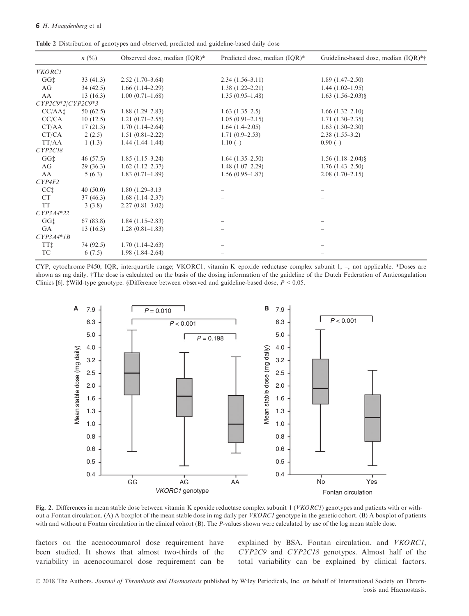Table 2 Distribution of genotypes and observed, predicted and guideline-based daily dose

|                     | $n(^{0}/_{0})$ | Observed dose, median (IQR)* | Predicted dose, median (IQR)* | Guideline-based dose, median (IQR)*† |
|---------------------|----------------|------------------------------|-------------------------------|--------------------------------------|
| <b>VKORC1</b>       |                |                              |                               |                                      |
| GG <sup>+</sup>     | 33(41.3)       | $2.52(1.70-3.64)$            | $2.34(1.56-3.11)$             | $1.89(1.47-2.50)$                    |
| AG                  | 34(42.5)       | $1.66(1.14-2.29)$            | $1.38(1.22 - 2.21)$           | $1.44(1.02-1.95)$                    |
| AA                  | 13(16.3)       | $1.00(0.71-1.68)$            | $1.35(0.95-1.48)$             | $1.63$ $(1.56-2.03)\$ §              |
| $CYP2C9*2/CYP2C9*3$ |                |                              |                               |                                      |
| CC/AAt              | 50 $(62.5)$    | $1.88(1.29-2.83)$            | $1.63(1.35-2.5)$              | $1.66(1.32 - 2.10)$                  |
| CC/CA               | 10(12.5)       | $1.21(0.71-2.55)$            | $1.05(0.91 - 2.15)$           | $1.71(1.30-2.35)$                    |
| CT/AA               | 17(21.3)       | $1.70(1.14-2.64)$            | $1.64(1.4-2.05)$              | $1.63(1.30-2.30)$                    |
| CT/CA               | 2(2.5)         | $1.51(0.81 - 2.22)$          | $1.71(0.9-2.53)$              | $2.38(1.55-3.2)$                     |
| TT/AA               | 1(1.3)         | $1.44(1.44-1.44)$            | $1.10(-)$                     | $0.90(-)$                            |
| CYP2C18             |                |                              |                               |                                      |
| GG <sup>+</sup>     | 46(57.5)       | $1.85(1.15-3.24)$            | $1.64(1.35-2.50)$             | $1.56(1.18-2.04)\$                   |
| AG                  | 29(36.3)       | $1.62(1.12 - 2.37)$          | $1.48(1.07-2.29)$             | $1.76(1.43-2.50)$                    |
| AA                  | 5(6.3)         | $1.83(0.71-1.89)$            | $1.56(0.95-1.87)$             | $2.08(1.70-2.15)$                    |
| CYP4F2              |                |                              |                               |                                      |
| CC <sub>1</sub>     | 40(50.0)       | $1.80(1.29-3.13)$            |                               |                                      |
| <b>CT</b>           | 37(46.3)       | $1.68(1.14-2.37)$            |                               |                                      |
| <b>TT</b>           | 3(3.8)         | $2.27(0.81 - 3.02)$          |                               |                                      |
| $CYP3A4*22$         |                |                              |                               |                                      |
| GG <sup>+</sup>     | 67(83.8)       | $1.84(1.15-2.83)$            |                               |                                      |
| <b>GA</b>           | 13(16.3)       | $1.28(0.81-1.83)$            |                               |                                      |
| $CYP3A4*IB$         |                |                              |                               |                                      |
| TT <sub>1</sub>     | 74 (92.5)      | $1.70(1.14-2.63)$            |                               |                                      |
| TC                  | 6(7.5)         | $1.98(1.84 - 2.64)$          |                               |                                      |

CYP, cytochrome P450; IQR, interquartile range; VKORC1, vitamin K epoxide reductase complex subunit 1; –, not applicable. \*Doses are shown as mg daily. †The dose is calculated on the basis of the dosing information of the guideline of the Dutch Federation of Anticoagulation Clinics [6]. ‡Wild-type genotype. §Difference between observed and guideline-based dose, P < 0.05.



Fig. 2. Differences in mean stable dose between vitamin K epoxide reductase complex subunit  $1 (VKORCI)$  genotypes and patients with or without a Fontan circulation. (A) A boxplot of the mean stable dose in mg daily per VKORC1 genotype in the genetic cohort. (B) A boxplot of patients with and without a Fontan circulation in the clinical cohort (B). The P-values shown were calculated by use of the log mean stable dose.

factors on the acenocoumarol dose requirement have been studied. It shows that almost two-thirds of the variability in acenocoumarol dose requirement can be explained by BSA, Fontan circulation, and VKORC1, CYP2C9 and CYP2C18 genotypes. Almost half of the total variability can be explained by clinical factors.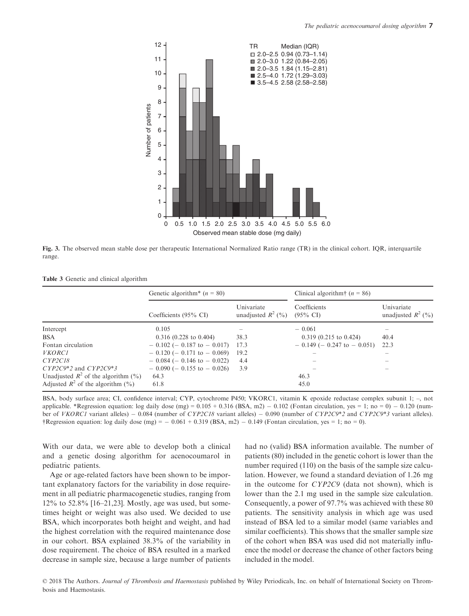

Fig. 3. The observed mean stable dose per therapeutic International Normalized Ratio range (TR) in the clinical cohort. IQR, interquartile range.

| <b>Table 3</b> Genetic and clinical algorithm |  |
|-----------------------------------------------|--|
|-----------------------------------------------|--|

|                                           | Genetic algorithm <sup>*</sup> $(n = 80)$ |                                    | Clinical algorithm <sup>†</sup> $(n = 86)$ |                                    |
|-------------------------------------------|-------------------------------------------|------------------------------------|--------------------------------------------|------------------------------------|
|                                           | Coefficients $(95\% \text{ CI})$          | Univariate<br>unadjusted $R^2$ (%) | Coefficients<br>$(95\% \text{ CI})$        | Univariate<br>unadjusted $R^2$ (%) |
| Intercept                                 | 0.105                                     |                                    | $-0.061$                                   |                                    |
| <b>BSA</b>                                | $0.316$ (0.228 to 0.404)                  | 38.3                               | $0.319$ (0.215 to 0.424)                   | 40.4                               |
| Fontan circulation                        | $-0.102$ (- 0.187 to - 0.017)             | 17.3                               | $-0.149$ ( $-0.247$ to $-0.051$ )          | 22.3                               |
| <b>VKORC1</b>                             | $-0.120$ (- 0.171 to - 0.069)             | 19.2                               |                                            |                                    |
| CYP2C18                                   | $-0.084$ (- 0.146 to - 0.022)             | 4.4                                |                                            |                                    |
| $CYP2C9*2$ and $CYP2C9*3$                 | $-0.090$ ( $-0.155$ to $-0.026$ )         | 3.9                                |                                            |                                    |
| Unadjusted $R^2$ of the algorithm $(\% )$ | 64.3                                      |                                    | 46.3                                       |                                    |
| Adjusted $R^2$ of the algorithm $(\% )$   | 61.8                                      |                                    | 45.0                                       |                                    |

BSA, body surface area; CI, confidence interval; CYP, cytochrome P450; VKORC1, vitamin K epoxide reductase complex subunit 1; –, not applicable. \*Regression equation: log daily dose (mg) =  $0.105 + 0.316$  (BSA, m2)  $- 0.102$  (Fontan circulation, yes = 1; no = 0)  $- 0.120$  (number of VKORC1 variant alleles) – 0.084 (number of CYP2C18 variant alleles) – 0.090 (number of CYP2C9\*2 and CYP2C9\*3 variant alleles). †Regression equation: log daily dose (mg) =  $-0.061 + 0.319$  (BSA, m2)  $-0.149$  (Fontan circulation, yes = 1; no = 0).

With our data, we were able to develop both a clinical and a genetic dosing algorithm for acenocoumarol in pediatric patients.

Age or age-related factors have been shown to be important explanatory factors for the variability in dose requirement in all pediatric pharmacogenetic studies, ranging from 12% to 52.8% [16–21,23]. Mostly, age was used, but sometimes height or weight was also used. We decided to use BSA, which incorporates both height and weight, and had the highest correlation with the required maintenance dose in our cohort. BSA explained 38.3% of the variability in dose requirement. The choice of BSA resulted in a marked decrease in sample size, because a large number of patients

had no (valid) BSA information available. The number of patients (80) included in the genetic cohort is lower than the number required (110) on the basis of the sample size calculation. However, we found a standard deviation of 1.26 mg in the outcome for CYP2C9 (data not shown), which is lower than the 2.1 mg used in the sample size calculation. Consequently, a power of 97.7% was achieved with these 80 patients. The sensitivity analysis in which age was used instead of BSA led to a similar model (same variables and similar coefficients). This shows that the smaller sample size of the cohort when BSA was used did not materially influence the model or decrease the chance of other factors being included in the model.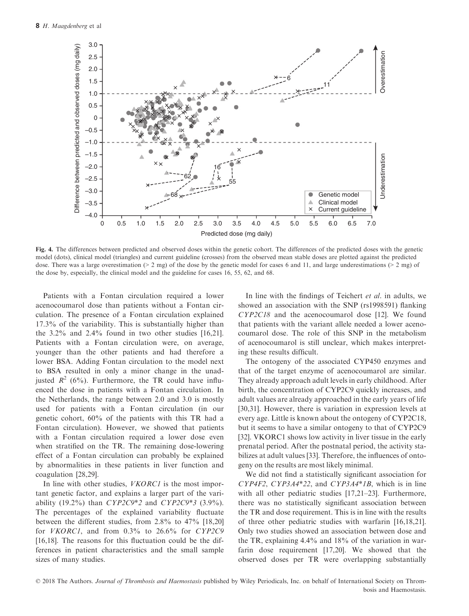

Fig. 4. The differences between predicted and observed doses within the genetic cohort. The differences of the predicted doses with the genetic model (dots), clinical model (triangles) and current guideline (crosses) from the observed mean stable doses are plotted against the predicted dose. There was a large overestimation (> 2 mg) of the dose by the genetic model for cases 6 and 11, and large underestimations (> 2 mg) of the dose by, especially, the clinical model and the guideline for cases 16, 55, 62, and 68.

Patients with a Fontan circulation required a lower acenocoumarol dose than patients without a Fontan circulation. The presence of a Fontan circulation explained 17.3% of the variability. This is substantially higher than the 3.2% and 2.4% found in two other studies [16,21]. Patients with a Fontan circulation were, on average, younger than the other patients and had therefore a lower BSA. Adding Fontan circulation to the model next to BSA resulted in only a minor change in the unadjusted  $R^2$  (6%). Furthermore, the TR could have influenced the dose in patients with a Fontan circulation. In the Netherlands, the range between 2.0 and 3.0 is mostly used for patients with a Fontan circulation (in our genetic cohort, 60% of the patients with this TR had a Fontan circulation). However, we showed that patients with a Fontan circulation required a lower dose even when stratified on the TR. The remaining dose-lowering effect of a Fontan circulation can probably be explained by abnormalities in these patients in liver function and coagulation [28,29].

In line with other studies, *VKORC1* is the most important genetic factor, and explains a larger part of the variability  $(19.2\%)$  than  $CYP2C9*2$  and  $CYP2C9*3$   $(3.9\%)$ . The percentages of the explained variability fluctuate between the different studies, from 2.8% to 47% [18,20] for VKORC1, and from 0.3% to 26.6% for CYP2C9 [16,18]. The reasons for this fluctuation could be the differences in patient characteristics and the small sample sizes of many studies.

In line with the findings of Teichert *et al.* in adults, we showed an association with the SNP (rs1998591) flanking CYP2C18 and the acenocoumarol dose [12]. We found that patients with the variant allele needed a lower acenocoumarol dose. The role of this SNP in the metabolism of acenocoumarol is still unclear, which makes interpreting these results difficult.

The ontogeny of the associated CYP450 enzymes and that of the target enzyme of acenocoumarol are similar. They already approach adult levels in early childhood. After birth, the concentration of CYP2C9 quickly increases, and adult values are already approached in the early years of life [30,31]. However, there is variation in expression levels at every age. Little is known about the ontogeny of CYP2C18, but it seems to have a similar ontogeny to that of CYP2C9 [32]. VKORC1 shows low activity in liver tissue in the early prenatal period. After the postnatal period, the activity stabilizes at adult values [33]. Therefore, the influences of ontogeny on the results are most likely minimal.

We did not find a statistically significant association for CYP4F2, CYP3A4\*22, and CYP3A4\*1B, which is in line with all other pediatric studies [17,21–23]. Furthermore, there was no statistically significant association between the TR and dose requirement. This is in line with the results of three other pediatric studies with warfarin [16,18,21]. Only two studies showed an association between dose and the TR, explaining 4.4% and 18% of the variation in warfarin dose requirement [17,20]. We showed that the observed doses per TR were overlapping substantially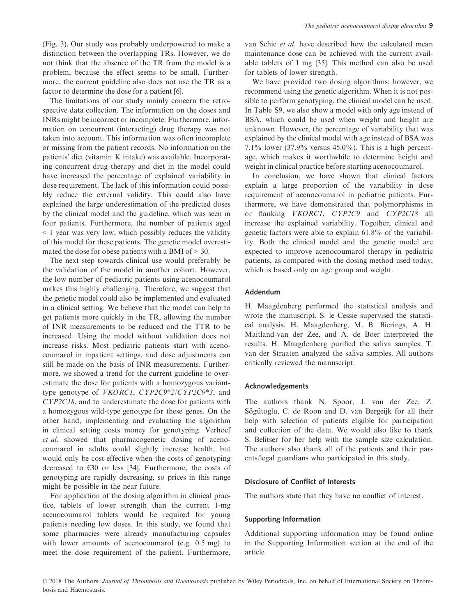(Fig. 3). Our study was probably underpowered to make a distinction between the overlapping TRs. However, we do not think that the absence of the TR from the model is a problem, because the effect seems to be small. Furthermore, the current guideline also does not use the TR as a factor to determine the dose for a patient [6].

The limitations of our study mainly concern the retrospective data collection. The information on the doses and INRs might be incorrect or incomplete. Furthermore, information on concurrent (interacting) drug therapy was not taken into account. This information was often incomplete or missing from the patient records. No information on the patients' diet (vitamin K intake) was available. Incorporating concurrent drug therapy and diet in the model could have increased the percentage of explained variability in dose requirement. The lack of this information could possibly reduce the external validity. This could also have explained the large underestimation of the predicted doses by the clinical model and the guideline, which was seen in four patients. Furthermore, the number of patients aged < 1 year was very low, which possibly reduces the validity of this model for these patients. The genetic model overestimated the dose for obese patients with a BMI of  $> 30$ .

The next step towards clinical use would preferably be the validation of the model in another cohort. However, the low number of pediatric patients using acenocoumarol makes this highly challenging. Therefore, we suggest that the genetic model could also be implemented and evaluated in a clinical setting. We believe that the model can help to get patients more quickly in the TR, allowing the number of INR measurements to be reduced and the TTR to be increased. Using the model without validation does not increase risks. Most pediatric patients start with acenocoumarol in inpatient settings, and dose adjustments can still be made on the basis of INR measurements. Furthermore, we showed a trend for the current guideline to overestimate the dose for patients with a homozygous varianttype genotype of VKORC1, CYP2C9\*2/CYP2C9\*3, and CYP2C18, and to underestimate the dose for patients with a homozygous wild-type genotype for these genes. On the other hand, implementing and evaluating the algorithm in clinical setting costs money for genotyping. Verhoef et al. showed that pharmacogenetic dosing of acenocoumarol in adults could slightly increase health, but would only be cost-effective when the costs of genotyping decreased to  $\epsilon$ 30 or less [34]. Furthermore, the costs of genotyping are rapidly decreasing, so prices in this range might be possible in the near future.

For application of the dosing algorithm in clinical practice, tablets of lower strength than the current 1-mg acenocoumarol tablets would be required for young patients needing low doses. In this study, we found that some pharmacies were already manufacturing capsules with lower amounts of acenocoumarol (e.g. 0.5 mg) to meet the dose requirement of the patient. Furthermore,

van Schie et al. have described how the calculated mean maintenance dose can be achieved with the current available tablets of 1 mg [35]. This method can also be used for tablets of lower strength.

We have provided two dosing algorithms; however, we recommend using the genetic algorithm. When it is not possible to perform genotyping, the clinical model can be used. In Table S9, we also show a model with only age instead of BSA, which could be used when weight and height are unknown. However, the percentage of variability that was explained by the clinical model with age instead of BSA was 7.1% lower  $(37.9\%$  versus  $45.0\%$ ). This is a high percentage, which makes it worthwhile to determine height and weight in clinical practice before starting acenocoumarol.

In conclusion, we have shown that clinical factors explain a large proportion of the variability in dose requirement of acenocoumarol in pediatric patients. Furthermore, we have demonstrated that polymorphisms in or flanking VKORC1, CYP2C9 and CYP2C18 all increase the explained variability. Together, clinical and genetic factors were able to explain 61.8% of the variability. Both the clinical model and the genetic model are expected to improve acenocoumarol therapy in pediatric patients, as compared with the dosing method used today, which is based only on age group and weight.

## Addendum

H. Maagdenberg performed the statistical analysis and wrote the manuscript. S. le Cessie supervised the statistical analysis. H. Maagdenberg, M. B. Bierings, A. H. Maitland-van der Zee, and A. de Boer interpreted the results. H. Maagdenberg purified the saliva samples. T. van der Straaten analyzed the saliva samples. All authors critically reviewed the manuscript.

#### Acknowledgements

The authors thank N. Spoor, J. van der Zee, Z. Sögütoglu, C. de Roon and D. van Bergeijk for all their help with selection of patients eligible for participation and collection of the data. We would also like to thank S. Belitser for her help with the sample size calculation. The authors also thank all of the patients and their parents/legal guardians who participated in this study.

## Disclosure of Conflict of Interests

The authors state that they have no conflict of interest.

#### Supporting Information

Additional supporting information may be found online in the Supporting Information section at the end of the article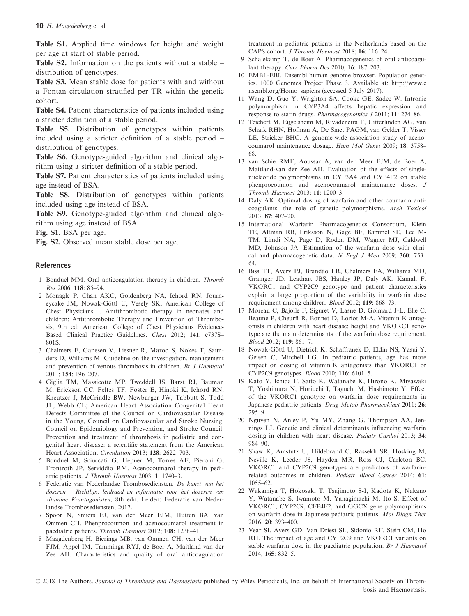#### 10 H. Maagdenberg et al.

Table S1. Applied time windows for height and weight per age at start of stable period.

Table S2. Information on the patients without a stable – distribution of genotypes.

Table S3. Mean stable dose for patients with and without a Fontan circulation stratified per TR within the genetic cohort.

Table S4. Patient characteristics of patients included using a stricter definition of a stable period.

Table S5. Distribution of genotypes within patients included using a stricter definition of a stable period – distribution of genotypes.

Table S6. Genotype-guided algorithm and clinical algorithm using a stricter definition of a stable period.

Table S7. Patient characteristics of patients included using age instead of BSA.

Table S8. Distribution of genotypes within patients included using age instead of BSA.

Table S9. Genotype-guided algorithm and clinical algorithm using age instead of BSA.

Fig. S1. BSA per age.

Fig. S2. Observed mean stable dose per age.

#### References

- 1 Bonduel MM. Oral anticoagulation therapy in children. Thromb Res 2006; 118: 85–94.
- 2 Monagle P, Chan AKC, Goldenberg NA, Ichord RN, Journeycake JM, Nowak-Göttl U, Vesely SK; American College of Chest Physicians. . Antithrombotic therapy in neonates and children: Antithrombotic Therapy and Prevention of Thrombosis, 9th ed: American College of Chest Physicians Evidence-Based Clinical Practice Guidelines. Chest 2012; 141: e737S– 801S.
- 3 Chalmers E, Ganesen V, Liesner R, Maroo S, Nokes T, Saunders D, Williams M. Guideline on the investigation, management and prevention of venous thrombosis in children. Br J Haematol 2011; 154: 196–207.
- 4 Giglia TM, Massicotte MP, Tweddell JS, Barst RJ, Bauman M, Erickson CC, Feltes TF, Foster E, Hinoki K, Ichord RN, Kreutzer J, McCrindle BW, Newburger JW, Tabbutt S, Todd JL, Webb CL; American Heart Association Congenital Heart Defects Committee of the Council on Cardiovascular Disease in the Young, Council on Cardiovascular and Stroke Nursing, Council on Epidemiology and Prevention, and Stroke Council. Prevention and treatment of thrombosis in pediatric and congenital heart disease: a scientific statement from the American Heart Association. Circulation 2013; 128: 2622–703.
- 5 Bonduel M, Sciuccati G, Hepner M, Torres AF, Pieroni G, Frontroth JP, Serviddio RM. Acenocoumarol therapy in pediatric patients. J Thromb Haemost 2003; 1: 1740–3.
- 6 Federatie van Nederlandse Trombosediensten. De kunst van het doseren – Richtlijn, leidraad en informatie voor het doseren van vitamine K-antagonisten, 8th edn. Leiden: Federatie van Nederlandse Trombosediensten, 2017.
- 7 Spoor N, Smiers FJ, van der Meer FJM, Hutten BA, van Ommen CH. Phenprocoumon and acenocoumarol treatment in paediatric patients. Thromb Haemost 2012; 108: 1238–41.
- 8 Maagdenberg H, Bierings MB, van Ommen CH, van der Meer FJM, Appel IM, Tamminga RYJ, de Boer A, Maitland-van der Zee AH. Characteristics and quality of oral anticoagulation

treatment in pediatric patients in the Netherlands based on the CAPS cohort. J Thromb Haemost 2018; 16: 116–24.

- 9 Schalekamp T, de Boer A. Pharmacogenetics of oral anticoagulant therapy. Curr Pharm Des 2010; 16: 187–203.
- 10 EMBL-EBI. Ensembl human genome browser. Population genetics. 1000 Genomes Project Phase 3. Available at: [http://www.e](http://www.ensembl.org/Homo_sapiens) [nsembl.org/Homo\\_sapiens](http://www.ensembl.org/Homo_sapiens) (accessed 5 July 2017).
- 11 Wang D, Guo Y, Wrighton SA, Cooke GE, Sadee W. Intronic polymorphism in CYP3A4 affects hepatic expression and response to statin drugs. Pharmacogenomics J 2011; 11: 274–86.
- 12 Teichert M, Eijgelsheim M, Rivadeneira F, Uitterlinden AG, van Schaik RHN, Hofman A, De Smet PAGM, van Gelder T, Visser LE, Stricker BHC. A genome-wide association study of acenocoumarol maintenance dosage. Hum Mol Genet 2009; 18: 3758– 68.
- 13 van Schie RMF, Aoussar A, van der Meer FJM, de Boer A, Maitland-van der Zee AH. Evaluation of the effects of singlenucleotide polymorphisms in CYP3A4 and CYP4F2 on stable phenprocoumon and acenocoumarol maintenance doses. J Thromb Haemost 2013; 11: 1200–3.
- 14 Daly AK. Optimal dosing of warfarin and other coumarin anticoagulants: the role of genetic polymorphisms. Arch Toxicol 2013; 87: 407–20.
- 15 International Warfarin Pharmacogenetics Consortium, Klein TE, Altman RB, Eriksson N, Gage BF, Kimmel SE, Lee M-TM, Limdi NA, Page D, Roden DM, Wagner MJ, Caldwell MD, Johnson JA. Estimation of the warfarin dose with clinical and pharmacogenetic data. N Engl J Med 2009; 360: 753-64.
- 16 Biss TT, Avery PJ, Brandão LR, Chalmers EA, Williams MD, Grainger JD, Leathart JBS, Hanley JP, Daly AK, Kamali F. VKORC1 and CYP2C9 genotype and patient characteristics explain a large proportion of the variability in warfarin dose requirement among children. Blood 2012; 119: 868–73.
- 17 Moreau C, Bajolle F, Siguret V, Lasne D, Golmard J-L, Elie C, Beaune P, Cheurfi R, Bonnet D, Loriot M-A. Vitamin K antagonists in children with heart disease: height and VKORC1 genotype are the main determinants of the warfarin dose requirement. Blood 2012; 119: 861–7.
- 18 Nowak-Göttl U, Dietrich K, Schaffranek D, Eldin NS, Yasui Y, Geisen C, Mitchell LG. In pediatric patients, age has more impact on dosing of vitamin K antagonists than VKORC1 or CYP2C9 genotypes. Blood 2010; 116: 6101–5.
- 19 Kato Y, Ichida F, Saito K, Watanabe K, Hirono K, Miyawaki T, Yoshimura N, Horiuchi I, Taguchi M, Hashimoto Y. Effect of the VKORC1 genotype on warfarin dose requirements in Japanese pediatric patients. Drug Metab Pharmacokinet 2011; 26: 295–9.
- 20 Nguyen N, Anley P, Yu MY, Zhang G, Thompson AA, Jennings LJ. Genetic and clinical determinants influencing warfarin dosing in children with heart disease. Pediatr Cardiol 2013; 34: 984–90.
- 21 Shaw K, Amstutz U, Hildebrand C, Rassekh SR, Hosking M, Neville K, Leeder JS, Hayden MR, Ross CJ, Carleton BC. VKORC1 and CYP2C9 genotypes are predictors of warfarinrelated outcomes in children. Pediatr Blood Cancer 2014; 61: 1055–62.
- 22 Wakamiya T, Hokosaki T, Tsujimoto S-I, Kadota K, Nakano Y, Watanabe S, Iwamoto M, Yanagimachi M, Ito S. Effect of VKORC1, CYP2C9, CFP4F2, and GGCX gene polymorphisms on warfarin dose in Japanese pediatric patients. Mol Diagn Ther 2016; 20: 393–400.
- 23 Vear SI, Ayers GD, Van Driest SL, Sidonio RF, Stein CM, Ho RH. The impact of age and CYP2C9 and VKORC1 variants on stable warfarin dose in the paediatric population. Br J Haematol 2014; 165: 832–5.